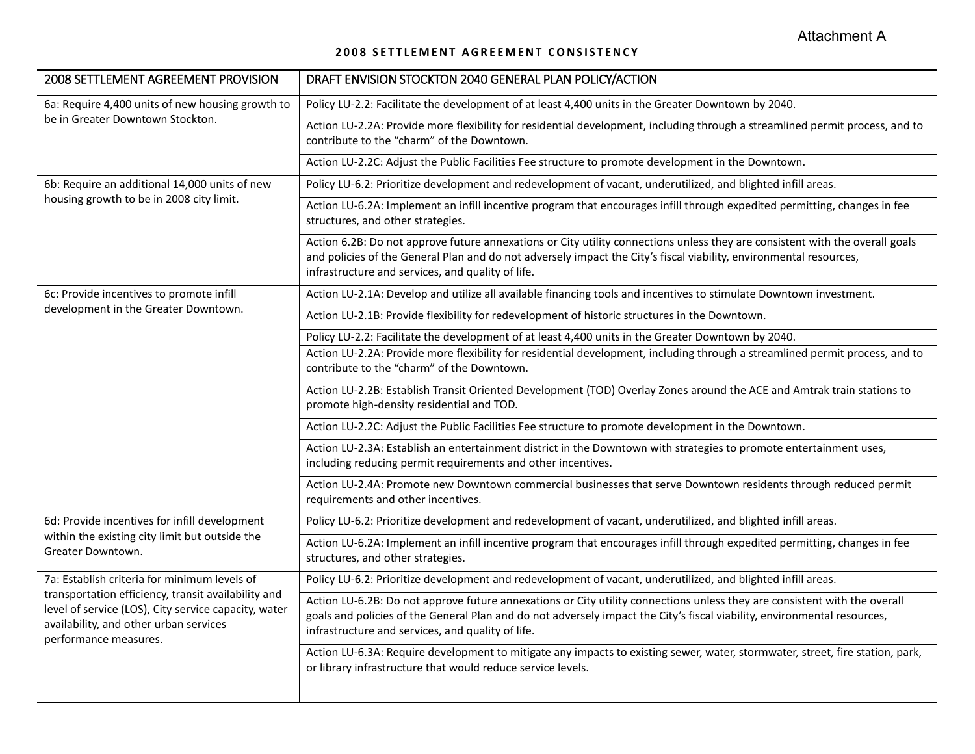Attachment A

## **2008 SETTLEMENT AGREEMENT CONSISTENCY**

| 2008 SETTLEMENT AGREEMENT PROVISION                                                                                                                                                                                            | DRAFT ENVISION STOCKTON 2040 GENERAL PLAN POLICY/ACTION                                                                                                                                                                                                                                                    |
|--------------------------------------------------------------------------------------------------------------------------------------------------------------------------------------------------------------------------------|------------------------------------------------------------------------------------------------------------------------------------------------------------------------------------------------------------------------------------------------------------------------------------------------------------|
| 6a: Require 4,400 units of new housing growth to<br>be in Greater Downtown Stockton.                                                                                                                                           | Policy LU-2.2: Facilitate the development of at least 4,400 units in the Greater Downtown by 2040.                                                                                                                                                                                                         |
|                                                                                                                                                                                                                                | Action LU-2.2A: Provide more flexibility for residential development, including through a streamlined permit process, and to<br>contribute to the "charm" of the Downtown.                                                                                                                                 |
|                                                                                                                                                                                                                                | Action LU-2.2C: Adjust the Public Facilities Fee structure to promote development in the Downtown.                                                                                                                                                                                                         |
| 6b: Require an additional 14,000 units of new<br>housing growth to be in 2008 city limit.                                                                                                                                      | Policy LU-6.2: Prioritize development and redevelopment of vacant, underutilized, and blighted infill areas.                                                                                                                                                                                               |
|                                                                                                                                                                                                                                | Action LU-6.2A: Implement an infill incentive program that encourages infill through expedited permitting, changes in fee<br>structures, and other strategies.                                                                                                                                             |
|                                                                                                                                                                                                                                | Action 6.2B: Do not approve future annexations or City utility connections unless they are consistent with the overall goals<br>and policies of the General Plan and do not adversely impact the City's fiscal viability, environmental resources,<br>infrastructure and services, and quality of life.    |
| 6c: Provide incentives to promote infill<br>development in the Greater Downtown.                                                                                                                                               | Action LU-2.1A: Develop and utilize all available financing tools and incentives to stimulate Downtown investment.                                                                                                                                                                                         |
|                                                                                                                                                                                                                                | Action LU-2.1B: Provide flexibility for redevelopment of historic structures in the Downtown.                                                                                                                                                                                                              |
|                                                                                                                                                                                                                                | Policy LU-2.2: Facilitate the development of at least 4,400 units in the Greater Downtown by 2040.                                                                                                                                                                                                         |
|                                                                                                                                                                                                                                | Action LU-2.2A: Provide more flexibility for residential development, including through a streamlined permit process, and to                                                                                                                                                                               |
|                                                                                                                                                                                                                                | contribute to the "charm" of the Downtown.                                                                                                                                                                                                                                                                 |
|                                                                                                                                                                                                                                | Action LU-2.2B: Establish Transit Oriented Development (TOD) Overlay Zones around the ACE and Amtrak train stations to<br>promote high-density residential and TOD.                                                                                                                                        |
|                                                                                                                                                                                                                                | Action LU-2.2C: Adjust the Public Facilities Fee structure to promote development in the Downtown.                                                                                                                                                                                                         |
|                                                                                                                                                                                                                                | Action LU-2.3A: Establish an entertainment district in the Downtown with strategies to promote entertainment uses,<br>including reducing permit requirements and other incentives.                                                                                                                         |
|                                                                                                                                                                                                                                | Action LU-2.4A: Promote new Downtown commercial businesses that serve Downtown residents through reduced permit<br>requirements and other incentives.                                                                                                                                                      |
| 6d: Provide incentives for infill development<br>within the existing city limit but outside the<br>Greater Downtown.                                                                                                           | Policy LU-6.2: Prioritize development and redevelopment of vacant, underutilized, and blighted infill areas.                                                                                                                                                                                               |
|                                                                                                                                                                                                                                | Action LU-6.2A: Implement an infill incentive program that encourages infill through expedited permitting, changes in fee<br>structures, and other strategies.                                                                                                                                             |
| 7a: Establish criteria for minimum levels of<br>transportation efficiency, transit availability and<br>level of service (LOS), City service capacity, water<br>availability, and other urban services<br>performance measures. | Policy LU-6.2: Prioritize development and redevelopment of vacant, underutilized, and blighted infill areas.                                                                                                                                                                                               |
|                                                                                                                                                                                                                                | Action LU-6.2B: Do not approve future annexations or City utility connections unless they are consistent with the overall<br>goals and policies of the General Plan and do not adversely impact the City's fiscal viability, environmental resources,<br>infrastructure and services, and quality of life. |
|                                                                                                                                                                                                                                | Action LU-6.3A: Require development to mitigate any impacts to existing sewer, water, stormwater, street, fire station, park,<br>or library infrastructure that would reduce service levels.                                                                                                               |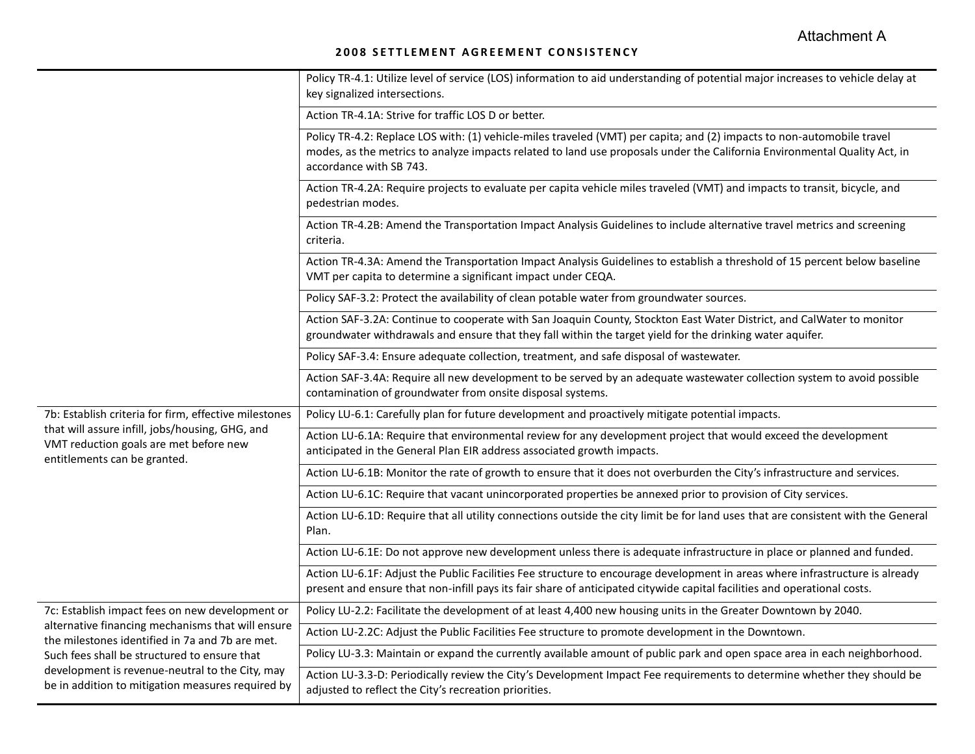## **2008 SETTLEMENT AGREEMENT CONSISTENCY**

|                                                                                                                                                                                                                                                                                                                 | Policy TR-4.1: Utilize level of service (LOS) information to aid understanding of potential major increases to vehicle delay at<br>key signalized intersections.                                                                                                               |
|-----------------------------------------------------------------------------------------------------------------------------------------------------------------------------------------------------------------------------------------------------------------------------------------------------------------|--------------------------------------------------------------------------------------------------------------------------------------------------------------------------------------------------------------------------------------------------------------------------------|
|                                                                                                                                                                                                                                                                                                                 | Action TR-4.1A: Strive for traffic LOS D or better.                                                                                                                                                                                                                            |
|                                                                                                                                                                                                                                                                                                                 | Policy TR-4.2: Replace LOS with: (1) vehicle-miles traveled (VMT) per capita; and (2) impacts to non-automobile travel<br>modes, as the metrics to analyze impacts related to land use proposals under the California Environmental Quality Act, in<br>accordance with SB 743. |
|                                                                                                                                                                                                                                                                                                                 | Action TR-4.2A: Require projects to evaluate per capita vehicle miles traveled (VMT) and impacts to transit, bicycle, and<br>pedestrian modes.                                                                                                                                 |
|                                                                                                                                                                                                                                                                                                                 | Action TR-4.2B: Amend the Transportation Impact Analysis Guidelines to include alternative travel metrics and screening<br>criteria.                                                                                                                                           |
|                                                                                                                                                                                                                                                                                                                 | Action TR-4.3A: Amend the Transportation Impact Analysis Guidelines to establish a threshold of 15 percent below baseline<br>VMT per capita to determine a significant impact under CEQA.                                                                                      |
|                                                                                                                                                                                                                                                                                                                 | Policy SAF-3.2: Protect the availability of clean potable water from groundwater sources.                                                                                                                                                                                      |
|                                                                                                                                                                                                                                                                                                                 | Action SAF-3.2A: Continue to cooperate with San Joaquin County, Stockton East Water District, and CalWater to monitor<br>groundwater withdrawals and ensure that they fall within the target yield for the drinking water aquifer.                                             |
|                                                                                                                                                                                                                                                                                                                 | Policy SAF-3.4: Ensure adequate collection, treatment, and safe disposal of wastewater.                                                                                                                                                                                        |
|                                                                                                                                                                                                                                                                                                                 | Action SAF-3.4A: Require all new development to be served by an adequate wastewater collection system to avoid possible<br>contamination of groundwater from onsite disposal systems.                                                                                          |
| 7b: Establish criteria for firm, effective milestones<br>that will assure infill, jobs/housing, GHG, and<br>VMT reduction goals are met before new<br>entitlements can be granted.                                                                                                                              | Policy LU-6.1: Carefully plan for future development and proactively mitigate potential impacts.                                                                                                                                                                               |
|                                                                                                                                                                                                                                                                                                                 | Action LU-6.1A: Require that environmental review for any development project that would exceed the development<br>anticipated in the General Plan EIR address associated growth impacts.                                                                                      |
|                                                                                                                                                                                                                                                                                                                 | Action LU-6.1B: Monitor the rate of growth to ensure that it does not overburden the City's infrastructure and services.                                                                                                                                                       |
|                                                                                                                                                                                                                                                                                                                 | Action LU-6.1C: Require that vacant unincorporated properties be annexed prior to provision of City services.                                                                                                                                                                  |
|                                                                                                                                                                                                                                                                                                                 | Action LU-6.1D: Require that all utility connections outside the city limit be for land uses that are consistent with the General<br>Plan.                                                                                                                                     |
|                                                                                                                                                                                                                                                                                                                 | Action LU-6.1E: Do not approve new development unless there is adequate infrastructure in place or planned and funded.                                                                                                                                                         |
|                                                                                                                                                                                                                                                                                                                 | Action LU-6.1F: Adjust the Public Facilities Fee structure to encourage development in areas where infrastructure is already<br>present and ensure that non-infill pays its fair share of anticipated citywide capital facilities and operational costs.                       |
| 7c: Establish impact fees on new development or<br>alternative financing mechanisms that will ensure<br>the milestones identified in 7a and 7b are met.<br>Such fees shall be structured to ensure that<br>development is revenue-neutral to the City, may<br>be in addition to mitigation measures required by | Policy LU-2.2: Facilitate the development of at least 4,400 new housing units in the Greater Downtown by 2040.                                                                                                                                                                 |
|                                                                                                                                                                                                                                                                                                                 | Action LU-2.2C: Adjust the Public Facilities Fee structure to promote development in the Downtown.                                                                                                                                                                             |
|                                                                                                                                                                                                                                                                                                                 | Policy LU-3.3: Maintain or expand the currently available amount of public park and open space area in each neighborhood.                                                                                                                                                      |
|                                                                                                                                                                                                                                                                                                                 | Action LU-3.3-D: Periodically review the City's Development Impact Fee requirements to determine whether they should be<br>adjusted to reflect the City's recreation priorities.                                                                                               |